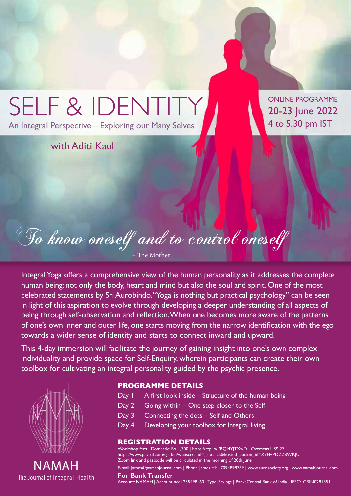

Integral Yoga offers a comprehensive view of the human personality as it addresses the complete human being: not only the body, heart and mind but also the soul and spirit. One of the most celebrated statements by Sri Aurobindo, "Yoga is nothing but practical psychology" can be seen in light of this aspiration to evolve through developing a deeper understanding of all aspects of being through self-observation and reflection. When one becomes more aware of the patterns of one's own inner and outer life, one starts moving from the narrow identification with the ego towards a wider sense of identity and starts to connect inward and upward.

This 4-day immersion will facilitate the journey of gaining insight into one's own complex individuality and provide space for Self-Enquiry, wherein participants can create their own toolbox for cultivating an integral personality guided by the psychic presence.



NAMAH The Journal of Integral Health

## **PROGRAMME DETAILS**

- Day I A first look inside Structure of the human being
- Day 2 Going within One step closer to the Self
- Day 3 Connecting the dots Self and Others
- Day 4 Developing your toolbox for Integral living

## **REGISTRATION DETAILS**

Workshop fees **|** Domestic: Rs. 1,700 **|** https://rzp.io/l/RQI4YjTXwD **|** Overseas US\$ 27 https://www.paypal.com/cgi-bin/webscr?cmd=\_s-xclick&hosted\_button\_id=X7FHPDZZBWKJU Zoom link and passcode will be circulated in the morning of 20th June

E-mail: james@namahjournal.com **|** Phone: James +91 7094898789 **|** www.aurosociety.org **|** www.namahjournal.com

#### **For Bank Transfer**

Account: NAMAH **|** Account no: 1235498160 **|** Type: Savings **|** Bank: Central Bank of India **|** IFSC: CBIN0281354